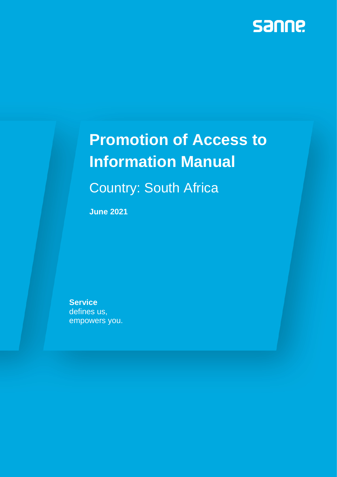

# **Promotion of Access to Information Manual**

Country: South Africa

**June 2021**

**Service** defines us, empowers you.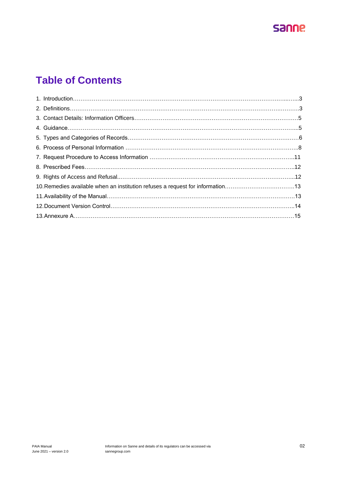

# **Table of Contents**

| 10. Remedies available when an institution refuses a request for information13 |  |
|--------------------------------------------------------------------------------|--|
|                                                                                |  |
|                                                                                |  |
|                                                                                |  |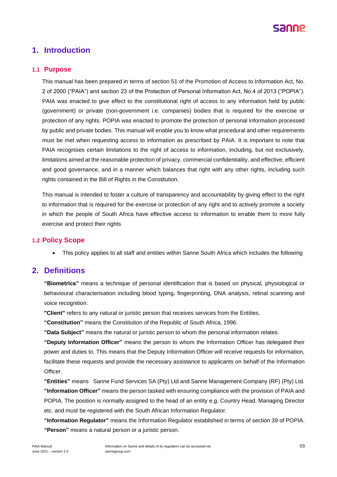

## **1. Introduction**

### **1.1 Purpose**

This manual has been prepared in terms of section 51 of the Promotion of Access to Information Act, No. 2 of 2000 ("PAIA") and section 23 of the Protection of Personal Information Act, No.4 of 2013 ("POPIA"). PAIA was enacted to give effect to the constitutional right of access to any information held by public (government) or private (non-government i.e. companies) bodies that is required for the exercise or protection of any rights. POPIA was enacted to promote the protection of personal information processed by public and private bodies. This manual will enable you to know what procedural and other requirements must be met when requesting access to information as prescribed by PAIA. It is important to note that PAIA recognises certain limitations to the right of access to information, including, but not exclusively, limitations aimed at the reasonable protection of privacy, commercial confidentiality, and effective, efficient and good governance, and in a manner which balances that right with any other rights, including such rights contained in the Bill of Rights in the Constitution.

This manual is intended to foster a culture of transparency and accountability by giving effect to the right to information that is required for the exercise or protection of any right and to actively promote a society in which the people of South Africa have effective access to information to enable them to more fully exercise and protect their rights

## **1.2 Policy Scope**

• This policy applies to all staff and entities within Sanne South Africa which includes the following

## **2. Definitions**

**"Biometrics"** means a technique of personal identification that is based on physical, physiological or behavioural characterisation including blood typing, fingerprinting, DNA analysis, retinal scanning and voice recognition.

**"Client"** refers to any natural or juristic person that receives services from the Entities.

**"Constitution"** means the Constitution of the Republic of South Africa, 1996.

**"Data Subject"** means the natural or juristic person to whom the personal information relates.

**"Deputy Information Officer"** means the person to whom the Information Officer has delegated their power and duties to. This means that the Deputy Information Officer will receive requests for information, facilitate these requests and provide the necessary assistance to applicants on behalf of the Information Officer.

**"Entities"** means Sanne Fund Services SA (Pty) Ltd and Sanne Management Company (RF) (Pty) Ltd. **"Information Officer"** means the person tasked with ensuring compliance with the provision of PAIA and POPIA. The position is normally assigned to the head of an entity e.g. Country Head, Managing Director etc. and must be registered with the South African Information Regulator.

**"Information Regulator"** means the Information Regulator established in terms of section 39 of POPIA. **"Person"** means a natural person or a juristic person.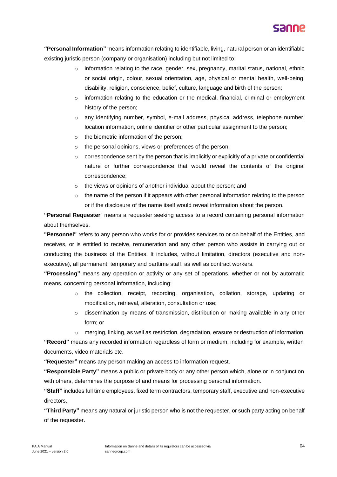

**"Personal Information"** means information relating to identifiable, living, natural person or an identifiable existing juristic person (company or organisation) including but not limited to:

- $\circ$  information relating to the race, gender, sex, pregnancy, marital status, national, ethnic or social origin, colour, sexual orientation, age, physical or mental health, well-being, disability, religion, conscience, belief, culture, language and birth of the person;
- $\circ$  information relating to the education or the medical, financial, criminal or employment history of the person;
- o any identifying number, symbol, e-mail address, physical address, telephone number, location information, online identifier or other particular assignment to the person;
- o the biometric information of the person;
- o the personal opinions, views or preferences of the person;
- $\circ$  correspondence sent by the person that is implicitly or explicitly of a private or confidential nature or further correspondence that would reveal the contents of the original correspondence;
- o the views or opinions of another individual about the person; and
- $\circ$  the name of the person if it appears with other personal information relating to the person or if the disclosure of the name itself would reveal information about the person.

**"Personal Requester**" means a requester seeking access to a record containing personal information about themselves.

**"Personnel"** refers to any person who works for or provides services to or on behalf of the Entities, and receives, or is entitled to receive, remuneration and any other person who assists in carrying out or conducting the business of the Entities. It includes, without limitation, directors (executive and nonexecutive), all permanent, temporary and parttime staff, as well as contract workers.

**"Processing"** means any operation or activity or any set of operations, whether or not by automatic means, concerning personal information, including:

- o the collection, receipt, recording, organisation, collation, storage, updating or modification, retrieval, alteration, consultation or use;
- $\circ$  dissemination by means of transmission, distribution or making available in any other form; or
- merging, linking, as well as restriction, degradation, erasure or destruction of information.

**"Record"** means any recorded information regardless of form or medium, including for example, written documents, video materials etc.

**"Requester"** means any person making an access to information request.

**"Responsible Party"** means a public or private body or any other person which, alone or in conjunction with others, determines the purpose of and means for processing personal information.

**"Staff"** includes full time employees, fixed term contractors, temporary staff, executive and non-executive directors.

**"Third Party"** means any natural or juristic person who is not the requester, or such party acting on behalf of the requester.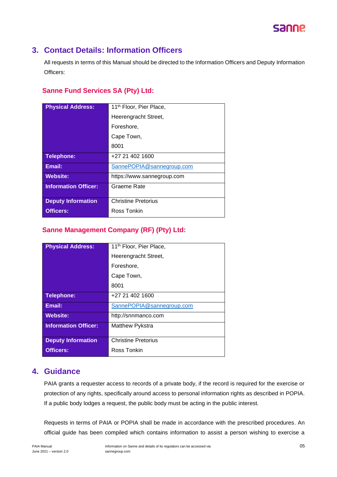

## **3. Contact Details: Information Officers**

All requests in terms of this Manual should be directed to the Information Officers and Deputy Information Officers:

## **Sanne Fund Services SA (Pty) Ltd:**

| <b>Physical Address:</b>    | 11 <sup>th</sup> Floor, Pier Place, |  |
|-----------------------------|-------------------------------------|--|
|                             | Heerengracht Street,                |  |
|                             | Foreshore,                          |  |
|                             | Cape Town,                          |  |
|                             | 8001                                |  |
| <b>Telephone:</b>           | +27 21 402 1600                     |  |
| Email:                      | SannePOPIA@sannegroup.com           |  |
| <b>Website:</b>             | https://www.sannegroup.com          |  |
| <b>Information Officer:</b> | Graeme Rate                         |  |
|                             |                                     |  |
| <b>Deputy Information</b>   | <b>Christine Pretorius</b>          |  |
| <b>Officers:</b>            | Ross Tonkin                         |  |
|                             |                                     |  |

## **Sanne Management Company (RF) (Pty) Ltd:**

| 11 <sup>th</sup> Floor, Pier Place, |  |
|-------------------------------------|--|
| Heerengracht Street,                |  |
| Foreshore,                          |  |
| Cape Town,                          |  |
| 8001                                |  |
| +27 21 402 1600                     |  |
| SannePOPIA@sannegroup.com           |  |
| http://snnmanco.com                 |  |
| Matthew Pykstra                     |  |
|                                     |  |
| <b>Christine Pretorius</b>          |  |
| Ross Tonkin                         |  |
|                                     |  |

## **4. Guidance**

PAIA grants a requester access to records of a private body, if the record is required for the exercise or protection of any rights, specifically around access to personal information rights as described in POPIA. If a public body lodges a request, the public body must be acting in the public interest.

Requests in terms of PAIA or POPIA shall be made in accordance with the prescribed procedures. An official guide has been compiled which contains information to assist a person wishing to exercise a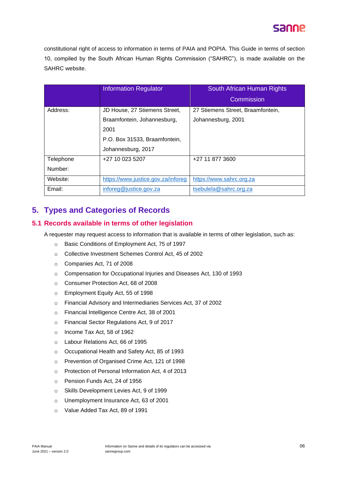# sanne

constitutional right of access to information in terms of PAIA and POPIA. This Guide in terms of section 10, compiled by the South African Human Rights Commission ("SAHRC"), is made available on the SAHRC website.

|           | <b>Information Regulator</b>       | South African Human Rights        |
|-----------|------------------------------------|-----------------------------------|
|           |                                    | Commission                        |
| Address:  | JD House, 27 Stiemens Street,      | 27 Stiemens Street, Braamfontein, |
|           | Braamfontein, Johannesburg,        | Johannesburg, 2001                |
|           | 2001                               |                                   |
|           | P.O. Box 31533, Braamfontein,      |                                   |
|           | Johannesburg, 2017                 |                                   |
| Telephone | +27 10 023 5207                    | +27 11 877 3600                   |
| Number:   |                                    |                                   |
| Website:  | https://www.justice.gov.za/inforeg | https://www.sahrc.org.za          |
| Email:    | inforeg@justice.gov.za             | tsebulela@sahrc.org.za            |

## **5. Types and Categories of Records**

## **5.1 Records available in terms of other legislation**

A requester may request access to information that is available in terms of other legislation, such as:

- o Basic Conditions of Employment Act, 75 of 1997
- o Collective Investment Schemes Control Act, 45 of 2002
- o Companies Act, 71 of 2008
- o Compensation for Occupational Injuries and Diseases Act, 130 of 1993
- o Consumer Protection Act, 68 of 2008
- o Employment Equity Act, 55 of 1998
- o Financial Advisory and Intermediaries Services Act, 37 of 2002
- o Financial Intelligence Centre Act, 38 of 2001
- o Financial Sector Regulations Act, 9 of 2017
- o Income Tax Act, 58 of 1962
- o Labour Relations Act, 66 of 1995
- o Occupational Health and Safety Act, 85 of 1993
- o Prevention of Organised Crime Act, 121 of 1998
- o Protection of Personal Information Act, 4 of 2013
- o Pension Funds Act, 24 of 1956
- o Skills Development Levies Act, 9 of 1999
- o Unemployment Insurance Act, 63 of 2001
- o Value Added Tax Act, 89 of 1991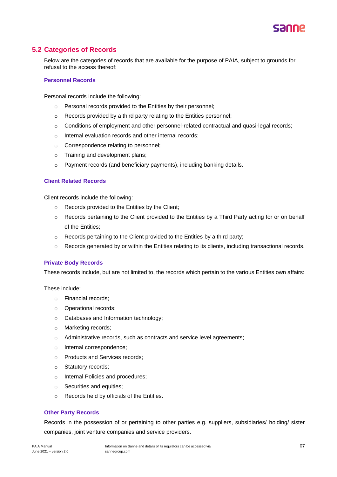

## **5.2 Categories of Records**

Below are the categories of records that are available for the purpose of PAIA, subject to grounds for refusal to the access thereof:

#### **Personnel Records**

Personal records include the following:

- o Personal records provided to the Entities by their personnel;
- o Records provided by a third party relating to the Entities personnel;
- $\circ$  Conditions of employment and other personnel-related contractual and quasi-legal records;
- o Internal evaluation records and other internal records;
- o Correspondence relating to personnel;
- o Training and development plans;
- o Payment records (and beneficiary payments), including banking details.

#### **Client Related Records**

Client records include the following:

- o Records provided to the Entities by the Client;
- o Records pertaining to the Client provided to the Entities by a Third Party acting for or on behalf of the Entities;
- o Records pertaining to the Client provided to the Entities by a third party;
- $\circ$  Records generated by or within the Entities relating to its clients, including transactional records.

#### **Private Body Records**

These records include, but are not limited to, the records which pertain to the various Entities own affairs:

These include:

- o Financial records;
- o Operational records;
- o Databases and Information technology;
- o Marketing records;
- o Administrative records, such as contracts and service level agreements;
- o Internal correspondence;
- o Products and Services records;
- o Statutory records;
- o Internal Policies and procedures;
- o Securities and equities;
- o Records held by officials of the Entities.

### **Other Party Records**

Records in the possession of or pertaining to other parties e.g. suppliers, subsidiaries/ holding/ sister companies, joint venture companies and service providers.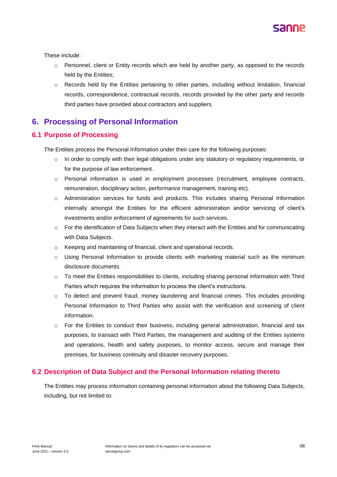

These include:

- $\circ$  Personnel, client or Entity records which are held by another party, as opposed to the records held by the Entities;
- o Records held by the Entities pertaining to other parties, including without limitation, financial records, correspondence, contractual records, records provided by the other party and records third parties have provided about contractors and suppliers.

## **6. Processing of Personal Information**

## **6.1 Purpose of Processing**

The Entities process the Personal Information under their care for the following purposes:

- In order to comply with their legal obligations under any statutory or regulatory requirements, or for the purpose of law enforcement.
- o Personal information is used in employment processes (recruitment, employee contracts, remuneration, disciplinary action, performance management, training etc).
- o Administration services for funds and products. This includes sharing Personal Information internally amongst the Entities for the efficient administration and/or servicing of client's investments and/or enforcement of agreements for such services.
- $\circ$  For the identification of Data Subjects when they interact with the Entities and for communicating with Data Subjects.
- o Keeping and maintaining of financial, client and operational records.
- o Using Personal Information to provide clients with marketing material such as the minimum disclosure documents.
- $\circ$  To meet the Entities responsibilities to clients, including sharing personal information with Third Parties which requires the information to process the client's instructions.
- $\circ$  To detect and prevent fraud, money laundering and financial crimes. This includes providing Personal Information to Third Parties who assist with the verification and screening of client information.
- o For the Entities to conduct their business, including general administration, financial and tax purposes, to transact with Third Parties, the management and auditing of the Entities systems and operations, health and safety purposes, to monitor access, secure and manage their premises, for business continuity and disaster recovery purposes.

## **6.2 Description of Data Subject and the Personal Information relating thereto**

The Entities may process information containing personal information about the following Data Subjects, including, but not limited to: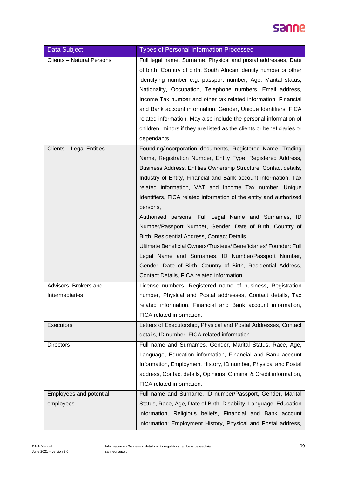# sanne.

| Data Subject                            | <b>Types of Personal Information Processed</b>                                                                                                                                                                                                                                                                                                                                                                                                                                                                                                                                                                                                                                                                                                                                                                               |  |
|-----------------------------------------|------------------------------------------------------------------------------------------------------------------------------------------------------------------------------------------------------------------------------------------------------------------------------------------------------------------------------------------------------------------------------------------------------------------------------------------------------------------------------------------------------------------------------------------------------------------------------------------------------------------------------------------------------------------------------------------------------------------------------------------------------------------------------------------------------------------------------|--|
| <b>Clients - Natural Persons</b>        | Full legal name, Surname, Physical and postal addresses, Date<br>of birth, Country of birth, South African identity number or other<br>identifying number e.g. passport number, Age, Marital status,<br>Nationality, Occupation, Telephone numbers, Email address,<br>Income Tax number and other tax related information, Financial<br>and Bank account information, Gender, Unique Identifiers, FICA<br>related information. May also include the personal information of<br>children, minors if they are listed as the clients or beneficiaries or<br>dependants.                                                                                                                                                                                                                                                         |  |
| Clients - Legal Entities                | Founding/incorporation documents, Registered Name, Trading<br>Name, Registration Number, Entity Type, Registered Address,<br>Business Address, Entities Ownership Structure, Contact details,<br>Industry of Entity, Financial and Bank account information, Tax<br>related information, VAT and Income Tax number; Unique<br>Identifiers, FICA related information of the entity and authorized<br>persons,<br>Authorised persons: Full Legal Name and Surnames, ID<br>Number/Passport Number, Gender, Date of Birth, Country of<br>Birth, Residential Address, Contact Details.<br>Ultimate Beneficial Owners/Trustees/ Beneficiaries/ Founder: Full<br>Legal Name and Surnames, ID Number/Passport Number,<br>Gender, Date of Birth, Country of Birth, Residential Address,<br>Contact Details, FICA related information. |  |
| Advisors, Brokers and<br>Intermediaries | License numbers, Registered name of business, Registration<br>number, Physical and Postal addresses, Contact details, Tax<br>related information, Financial and Bank account information,<br>FICA related information.                                                                                                                                                                                                                                                                                                                                                                                                                                                                                                                                                                                                       |  |
| Executors                               | Letters of Executorship, Physical and Postal Addresses, Contact<br>details, ID number, FICA related information.                                                                                                                                                                                                                                                                                                                                                                                                                                                                                                                                                                                                                                                                                                             |  |
| <b>Directors</b>                        | Full name and Surnames, Gender, Marital Status, Race, Age,<br>Language, Education information, Financial and Bank account<br>Information, Employment History, ID number, Physical and Postal<br>address, Contact details, Opinions, Criminal & Credit information,<br>FICA related information.                                                                                                                                                                                                                                                                                                                                                                                                                                                                                                                              |  |
| Employees and potential<br>employees    | Full name and Surname, ID number/Passport, Gender, Marital<br>Status, Race, Age, Date of Birth, Disability, Language, Education<br>information, Religious beliefs, Financial and Bank account<br>information; Employment History, Physical and Postal address,                                                                                                                                                                                                                                                                                                                                                                                                                                                                                                                                                               |  |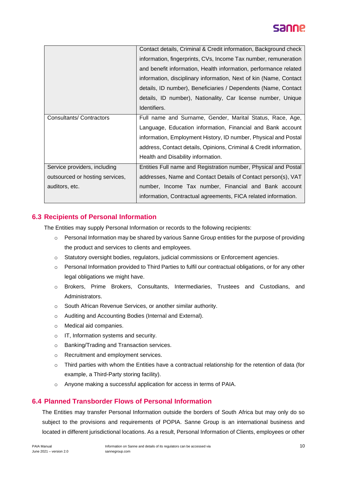

|                                 | Contact details, Criminal & Credit information, Background check   |  |
|---------------------------------|--------------------------------------------------------------------|--|
|                                 | information, fingerprints, CVs, Income Tax number, remuneration    |  |
|                                 | and benefit information, Health information, performance related   |  |
|                                 | information, disciplinary information, Next of kin (Name, Contact  |  |
|                                 | details, ID number), Beneficiaries / Dependents (Name, Contact     |  |
|                                 | details, ID number), Nationality, Car license number, Unique       |  |
|                                 | Identifiers.                                                       |  |
| Consultants/ Contractors        | Full name and Surname, Gender, Marital Status, Race, Age,          |  |
|                                 | Language, Education information, Financial and Bank account        |  |
|                                 | information, Employment History, ID number, Physical and Postal    |  |
|                                 | address, Contact details, Opinions, Criminal & Credit information, |  |
|                                 | Health and Disability information.                                 |  |
| Service providers, including    | Entities Full name and Registration number, Physical and Postal    |  |
| outsourced or hosting services, | addresses, Name and Contact Details of Contact person(s), VAT      |  |
| auditors, etc.                  | number, Income Tax number, Financial and Bank account              |  |
|                                 | information, Contractual agreements, FICA related information.     |  |

## **6.3 Recipients of Personal Information**

The Entities may supply Personal Information or records to the following recipients:

- $\circ$  Personal Information may be shared by various Sanne Group entities for the purpose of providing the product and services to clients and employees.
- o Statutory oversight bodies, regulators, judicial commissions or Enforcement agencies.
- o Personal Information provided to Third Parties to fulfil our contractual obligations, or for any other legal obligations we might have.
- o Brokers, Prime Brokers, Consultants, Intermediaries, Trustees and Custodians, and Administrators.
- o South African Revenue Services, or another similar authority.
- o Auditing and Accounting Bodies (Internal and External).
- o Medical aid companies.
- o IT, Information systems and security.
- o Banking/Trading and Transaction services.
- o Recruitment and employment services.
- o Third parties with whom the Entities have a contractual relationship for the retention of data (for example, a Third-Party storing facility).
- o Anyone making a successful application for access in terms of PAIA.

## **6.4 Planned Transborder Flows of Personal Information**

The Entities may transfer Personal Information outside the borders of South Africa but may only do so subject to the provisions and requirements of POPIA. Sanne Group is an international business and located in different jurisdictional locations. As a result, Personal Information of Clients, employees or other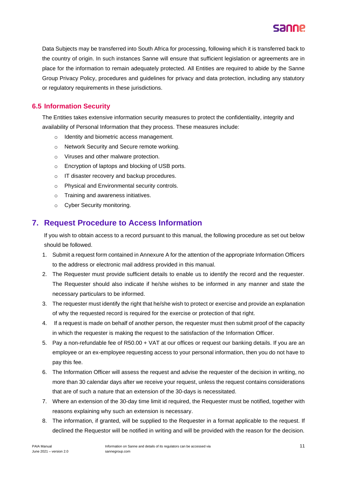

Data Subjects may be transferred into South Africa for processing, following which it is transferred back to the country of origin. In such instances Sanne will ensure that sufficient legislation or agreements are in place for the information to remain adequately protected. All Entities are required to abide by the Sanne Group Privacy Policy, procedures and guidelines for privacy and data protection, including any statutory or regulatory requirements in these jurisdictions.

## **6.5 Information Security**

The Entities takes extensive information security measures to protect the confidentiality, integrity and availability of Personal Information that they process. These measures include:

- o Identity and biometric access management.
- o Network Security and Secure remote working.
- o Viruses and other malware protection.
- o Encryption of laptops and blocking of USB ports.
- o IT disaster recovery and backup procedures.
- o Physical and Environmental security controls.
- o Training and awareness initiatives.
- o Cyber Security monitoring.

## **7. Request Procedure to Access Information**

If you wish to obtain access to a record pursuant to this manual, the following procedure as set out below should be followed.

- 1. Submit a request form contained in Annexure A for the attention of the appropriate Information Officers to the address or electronic mail address provided in this manual.
- 2. The Requester must provide sufficient details to enable us to identify the record and the requester. The Requester should also indicate if he/she wishes to be informed in any manner and state the necessary particulars to be informed.
- 3. The requester must identify the right that he/she wish to protect or exercise and provide an explanation of why the requested record is required for the exercise or protection of that right.
- 4. If a request is made on behalf of another person, the requester must then submit proof of the capacity in which the requester is making the request to the satisfaction of the Information Officer.
- 5. Pay a non-refundable fee of R50.00 + VAT at our offices or request our banking details. If you are an employee or an ex-employee requesting access to your personal information, then you do not have to pay this fee.
- 6. The Information Officer will assess the request and advise the requester of the decision in writing, no more than 30 calendar days after we receive your request, unless the request contains considerations that are of such a nature that an extension of the 30-days is necessitated.
- 7. Where an extension of the 30-day time limit id required, the Requester must be notified, together with reasons explaining why such an extension is necessary.
- 8. The information, if granted, will be supplied to the Requester in a format applicable to the request. If declined the Requestor will be notified in writing and will be provided with the reason for the decision.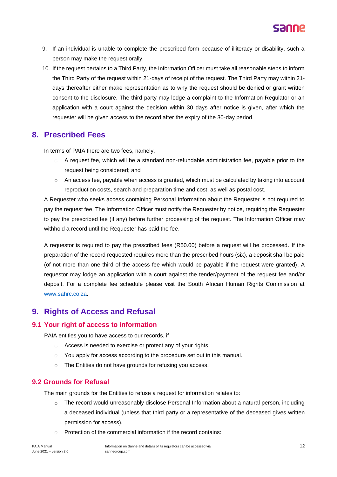- 9. If an individual is unable to complete the prescribed form because of illiteracy or disability, such a person may make the request orally.
- 10. If the request pertains to a Third Party, the Information Officer must take all reasonable steps to inform the Third Party of the request within 21-days of receipt of the request. The Third Party may within 21 days thereafter either make representation as to why the request should be denied or grant written consent to the disclosure. The third party may lodge a complaint to the Information Regulator or an application with a court against the decision within 30 days after notice is given, after which the requester will be given access to the record after the expiry of the 30-day period.

## **8. Prescribed Fees**

In terms of PAIA there are two fees, namely,

- $\circ$  A request fee, which will be a standard non-refundable administration fee, payable prior to the request being considered; and
- $\circ$  An access fee, payable when access is granted, which must be calculated by taking into account reproduction costs, search and preparation time and cost, as well as postal cost.

A Requester who seeks access containing Personal Information about the Requester is not required to pay the request fee. The Information Officer must notify the Requester by notice, requiring the Requester to pay the prescribed fee (if any) before further processing of the request. The Information Officer may withhold a record until the Requester has paid the fee.

A requestor is required to pay the prescribed fees (R50.00) before a request will be processed. If the preparation of the record requested requires more than the prescribed hours (six), a deposit shall be paid (of not more than one third of the access fee which would be payable if the request were granted). A requestor may lodge an application with a court against the tender/payment of the request fee and/or deposit. For a complete fee schedule please visit the South African Human Rights Commission at [www.sahrc.co.za.](http://www.sahrc.co.za/)

## **9. Rights of Access and Refusal**

## **9.1 Your right of access to information**

PAIA entitles you to have access to our records, if

- o Access is needed to exercise or protect any of your rights.
- o You apply for access according to the procedure set out in this manual.
- o The Entities do not have grounds for refusing you access.

## **9.2 Grounds for Refusal**

The main grounds for the Entities to refuse a request for information relates to:

- o The record would unreasonably disclose Personal Information about a natural person, including a deceased individual (unless that third party or a representative of the deceased gives written permission for access).
- o Protection of the commercial information if the record contains: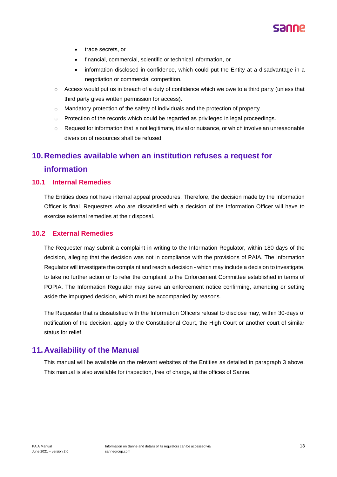

- trade secrets, or
- financial, commercial, scientific or technical information, or
- information disclosed in confidence, which could put the Entity at a disadvantage in a negotiation or commercial competition.
- $\circ$  Access would put us in breach of a duty of confidence which we owe to a third party (unless that third party gives written permission for access).
- o Mandatory protection of the safety of individuals and the protection of property.
- o Protection of the records which could be regarded as privileged in legal proceedings.
- $\circ$  Request for information that is not legitimate, trivial or nuisance, or which involve an unreasonable diversion of resources shall be refused.

## **10.Remedies available when an institution refuses a request for**

## **information**

## **10.1 Internal Remedies**

The Entities does not have internal appeal procedures. Therefore, the decision made by the Information Officer is final. Requesters who are dissatisfied with a decision of the Information Officer will have to exercise external remedies at their disposal.

## **10.2 External Remedies**

The Requester may submit a complaint in writing to the Information Regulator, within 180 days of the decision, alleging that the decision was not in compliance with the provisions of PAIA. The Information Regulator will investigate the complaint and reach a decision - which may include a decision to investigate, to take no further action or to refer the complaint to the Enforcement Committee established in terms of POPIA. The Information Regulator may serve an enforcement notice confirming, amending or setting aside the impugned decision, which must be accompanied by reasons.

The Requester that is dissatisfied with the Information Officers refusal to disclose may, within 30-days of notification of the decision, apply to the Constitutional Court, the High Court or another court of similar status for relief.

## **11.Availability of the Manual**

This manual will be available on the relevant websites of the Entities as detailed in paragraph 3 above. This manual is also available for inspection, free of charge, at the offices of Sanne.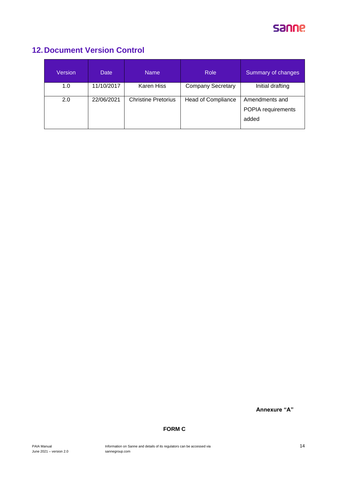

## **12.Document Version Control**

| Version | <b>Date</b> | <b>Name</b>                | <b>Role</b>               | Summary of changes                   |
|---------|-------------|----------------------------|---------------------------|--------------------------------------|
| 1.0     | 11/10/2017  | Karen Hiss                 | <b>Company Secretary</b>  | Initial drafting                     |
| 2.0     | 22/06/2021  | <b>Christine Pretorius</b> | <b>Head of Compliance</b> | Amendments and<br>POPIA requirements |
|         |             |                            |                           | added                                |

**Annexure "A"**

## **FORM C**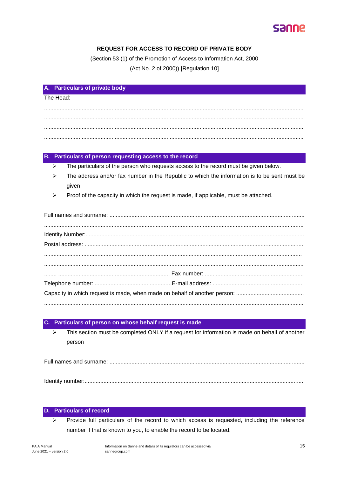

## **REQUEST FOR ACCESS TO RECORD OF PRIVATE BODY**

(Section 53 (1) of the Promotion of Access to Information Act, 2000 (Act No. 2 of 2000)) [Regulation 10]

| A. Particulars of private body |
|--------------------------------|
| The Head:                      |
|                                |
|                                |
|                                |

## B. Particulars of person requesting access to the record

- The particulars of the person who requests access to the record must be given below.  $\triangleright$
- $\triangleright$ The address and/or fax number in the Republic to which the information is to be sent must be given
- Proof of the capacity in which the request is made, if applicable, must be attached.

#### Particulars of person on whose behalf request is made

This section must be completed ONLY if a request for information is made on behalf of another  $\triangleright$ person

#### **Particulars of record** n.

Provide full particulars of the record to which access is requested, including the reference  $\overline{a}$ number if that is known to you, to enable the record to be located.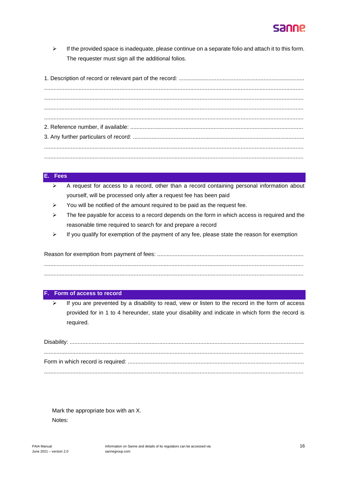

 $\triangleright$  If the provided space is inadequate, please continue on a separate folio and attach it to this form. The requester must sign all the additional folios.

#### **E. Fees**

- $\triangleright$  A request for access to a record, other than a record containing personal information about yourself, will be processed only after a request fee has been paid
- $\triangleright$  You will be notified of the amount required to be paid as the request fee.
- $\triangleright$  The fee payable for access to a record depends on the form in which access is required and the reasonable time required to search for and prepare a record
- $\triangleright$  If you qualify for exemption of the payment of any fee, please state the reason for exemption

Reason for exemption from payment of fees: ............................................................................................. ..................................................................................................................................................................... .....................................................................................................................................................................

#### **Form of access to record**

 $\triangleright$  If you are prevented by a disability to read, view or listen to the record in the form of access provided for in 1 to 4 hereunder, state your disability and indicate in which form the record is required.

Disability: ..................................................................................................................................................... ..................................................................................................................................................................... Form in which record is required: ................................................................................................................ .....................................................................................................................................................................

Mark the appropriate box with an X. Notes: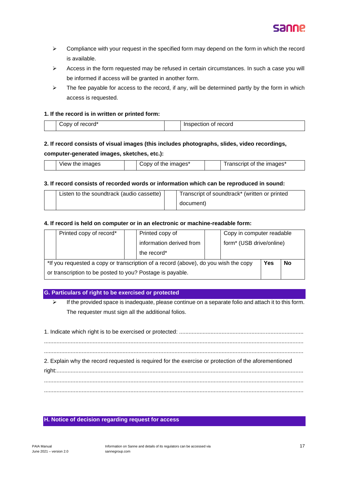

- ➢ Compliance with your request in the specified form may depend on the form in which the record is available.
- ➢ Access in the form requested may be refused in certain circumstances. In such a case you will be informed if access will be granted in another form.
- $\triangleright$  The fee payable for access to the record, if any, will be determined partly by the form in which access is requested.

#### **1. If the record is in written or printed form:**

| --<br>reci<br>ำท∨<br>™∪<br>м<br>. | record<br>$  -$<br>ال<br>люл<br>____ |
|-----------------------------------|--------------------------------------|

### **2. If record consists of visual images (this includes photographs, slides, video recordings,**

#### **computer-generated images, sketches, etc.):**

| images<br>View<br>me | ∠ımaɑes*<br>.nr<br>TN <sub>e</sub><br>ΩТ<br>$\mathbf{v}$ | .<br>∠ımaαes*<br>me<br>OL<br>18631101 |
|----------------------|----------------------------------------------------------|---------------------------------------|
|----------------------|----------------------------------------------------------|---------------------------------------|

#### **3. If record consists of recorded words or information which can be reproduced in sound:**

| Listen to the soundtrack (audio cassette) | Transcript of soundtrack* (written or printed |  |
|-------------------------------------------|-----------------------------------------------|--|
|                                           | document)                                     |  |

#### **4. If record is held on computer or in an electronic or machine-readable form:**

|                                                                                     | Printed copy of record* |  | Printed copy of                                      |  | Copy in computer readable |  |           |
|-------------------------------------------------------------------------------------|-------------------------|--|------------------------------------------------------|--|---------------------------|--|-----------|
|                                                                                     |                         |  | information derived from<br>form* (USB drive/online) |  |                           |  |           |
|                                                                                     |                         |  | the record*                                          |  |                           |  |           |
| *If you requested a copy or transcription of a record (above), do you wish the copy |                         |  |                                                      |  |                           |  | <b>No</b> |
| or transcription to be posted to you? Postage is payable.                           |                         |  |                                                      |  |                           |  |           |

### **G. Particulars of right to be exercised or protected**

➢ If the provided space is inadequate, please continue on a separate folio and attach it to this form. The requester must sign all the additional folios.

| 2. Explain why the record requested is required for the exercise or protection of the aforementioned |
|------------------------------------------------------------------------------------------------------|
|                                                                                                      |
|                                                                                                      |

### **H. Notice of decision regarding request for access**